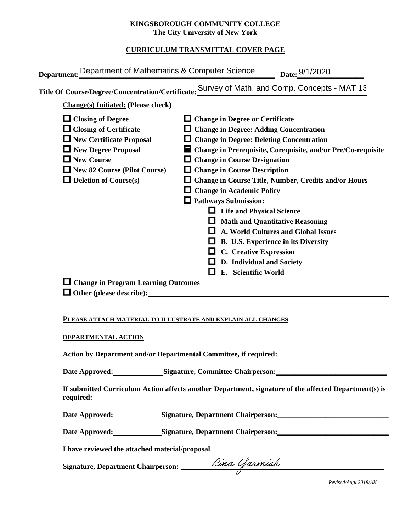#### **KINGSBOROUGH COMMUNITY COLLEGE The City University of New York**

# **CURRICULUM TRANSMITTAL COVER PAGE**

| Department: Department of Mathematics & Computer Science<br>Date: 9/1/2020                                                                                                                                                                                                                                                                                                                                                                                                                                                                                                                                                                                                                                                                                                                                                                                                                                                                                                                      |
|-------------------------------------------------------------------------------------------------------------------------------------------------------------------------------------------------------------------------------------------------------------------------------------------------------------------------------------------------------------------------------------------------------------------------------------------------------------------------------------------------------------------------------------------------------------------------------------------------------------------------------------------------------------------------------------------------------------------------------------------------------------------------------------------------------------------------------------------------------------------------------------------------------------------------------------------------------------------------------------------------|
| Title Of Course/Degree/Concentration/Certificate: Survey of Math. and Comp. Concepts - MAT 13                                                                                                                                                                                                                                                                                                                                                                                                                                                                                                                                                                                                                                                                                                                                                                                                                                                                                                   |
| <b>Change(s)</b> Initiated: (Please check)                                                                                                                                                                                                                                                                                                                                                                                                                                                                                                                                                                                                                                                                                                                                                                                                                                                                                                                                                      |
| $\Box$ Closing of Degree<br>$\Box$ Change in Degree or Certificate<br>$\Box$ Closing of Certificate<br>$\Box$ Change in Degree: Adding Concentration<br>$\Box$ New Certificate Proposal<br>$\Box$ Change in Degree: Deleting Concentration<br>New Degree Proposal<br>■ Change in Prerequisite, Corequisite, and/or Pre/Co-requisite<br>$\Box$ New Course<br>$\Box$ Change in Course Designation<br>$\Box$ New 82 Course (Pilot Course)<br>$\Box$ Change in Course Description<br>$\Box$ Deletion of Course(s)<br>$\Box$ Change in Course Title, Number, Credits and/or Hours<br>$\Box$ Change in Academic Policy<br>$\Box$ Pathways Submission:<br>$\Box$ Life and Physical Science<br><b>Math and Quantitative Reasoning</b><br>A. World Cultures and Global Issues<br><b>B. U.S. Experience in its Diversity</b><br><b>C.</b> Creative Expression<br>D. Individual and Society<br>E. Scientific World<br>$\Box$ Change in Program Learning Outcomes<br>$\Box$ Other (please describe): $\Box$ |

#### **PLEASE ATTACH MATERIAL TO ILLUSTRATE AND EXPLAIN ALL CHANGES**

### **DEPARTMENTAL ACTION**

**Action by Department and/or Departmental Committee, if required:**

Date Approved:\_\_\_\_\_\_\_\_\_\_\_\_\_\_\_Signature, Committee Chairperson:\_\_\_\_\_\_\_\_\_\_\_\_\_\_\_\_\_\_\_

**If submitted Curriculum Action affects another Department, signature of the affected Department(s) is required:**

Date Approved: Signature, Department Chairperson: National Approved:

Date Approved: Signature, Department Chairperson: Network and Approved: Network and Separature, Department Chairperson:

**I have reviewed the attached material/proposal**

**Signature, Department Chairperson: \_\_\_\_\_\_\_\_\_\_\_\_\_\_\_\_\_\_\_\_\_\_\_\_\_\_\_\_\_\_\_\_\_\_\_\_\_\_\_\_\_\_\_\_\_\_\_\_\_\_\_\_\_\_\_**

*Revised/Augl.2018/AK*